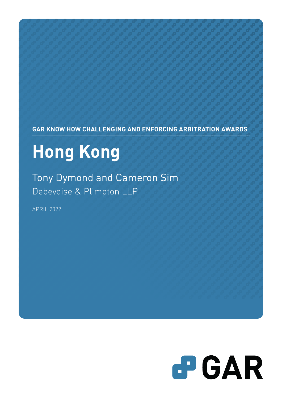**GAR KNOW HOW CHALLENGING AND ENFORCING ARBITRATION AWARDS**

# **Hong Kong**

Tony Dymond and Cameron Sim Debevoise & Plimpton LLP

APRIL 2022

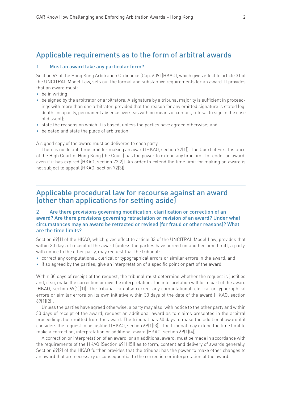### Applicable requirements as to the form of arbitral awards

### 1 Must an award take any particular form?

Section 67 of the Hong Kong Arbitration Ordinance (Cap. 609) (HKAO), which gives effect to article 31 of the UNCITRAL Model Law, sets out the formal and substantive requirements for an award. It provides that an award must:

- be in writing:
- be signed by the arbitrator or arbitrators. A signature by a tribunal majority is sufficient in proceedings with more than one arbitrator, provided that the reason for any omitted signature is stated (eg, death, incapacity, permanent absence overseas with no means of contact, refusal to sign in the case of dissent);
- state the reasons on which it is based, unless the parties have agreed otherwise; and
- be dated and state the place of arbitration.

A signed copy of the award must be delivered to each party.

There is no default time limit for making an award (HKAO, section 72(1)). The Court of First Instance of the High Court of Hong Kong (the Court) has the power to extend any time limit to render an award, even if it has expired (HKAO, section 72(2)). An order to extend the time limit for making an award is not subject to appeal (HKAO, section 72(3)).

### Applicable procedural law for recourse against an award (other than applications for setting aside)

### 2 Are there provisions governing modification, clarification or correction of an award? Are there provisions governing retractation or revision of an award? Under what circumstances may an award be retracted or revised (for fraud or other reasons)? What are the time limits?

Section 69(1) of the HKAO, which gives effect to article 33 of the UNCITRAL Model Law, provides that within 30 days of receipt of the award (unless the parties have agreed on another time limit), a party, with notice to the other party, may request that the tribunal:

- correct any computational, clerical or typographical errors or similar errors in the award; and
- if so agreed by the parties, give an interpretation of a specific point or part of the award.

Within 30 days of receipt of the request, the tribunal must determine whether the request is justified and, if so, make the correction or give the interpretation. The interpretation will form part of the award (HKAO, section 69(1)(1)). The tribunal can also correct any computational, clerical or typographical errors or similar errors on its own initiative within 30 days of the date of the award (HKAO, section 69(1)(2)).

Unless the parties have agreed otherwise, a party may also, with notice to the other party and within 30 days of receipt of the award, request an additional award as to claims presented in the arbitral proceedings but omitted from the award. The tribunal has 60 days to make the additional award if it considers the request to be justified (HKAO, section 69(1)(3)). The tribunal may extend the time limit to make a correction, interpretation or additional award (HKAO, section 69(1)(4)).

A correction or interpretation of an award, or an additional award, must be made in accordance with the requirements of the HKAO (Section 69(1)(5)) as to form, content and delivery of awards generally. Section 69(2) of the HKAO further provides that the tribunal has the power to make other changes to an award that are necessary or consequential to the correction or interpretation of the award.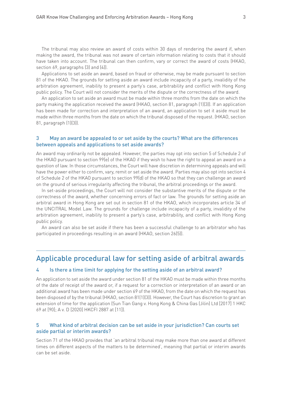The tribunal may also review an award of costs within 30 days of rendering the award if, when making the award, the tribunal was not aware of certain information relating to costs that it should have taken into account. The tribunal can then confirm, vary or correct the award of costs (HKAO, section 69, paragraphs (3) and (4)).

Applications to set aside an award, based on fraud or otherwise, may be made pursuant to section 81 of the HKAO. The grounds for setting aside an award include incapacity of a party, invalidity of the arbitration agreement, inability to present a party's case, arbitrability and conflict with Hong Kong public policy. The Court will not consider the merits of the dispute or the correctness of the award.

An application to set aside an award must be made within three months from the date on which the party making the application received the award (HKAO, section 81, paragraph (1)(3)). If an application has been made for correction and interpretation of an award, an application to set it aside must be made within three months from the date on which the tribunal disposed of the request. (HKAO, section 81, paragraph (1)(3)).

### 3 May an award be appealed to or set aside by the courts? What are the differences between appeals and applications to set aside awards?

An award may ordinarily not be appealed. However, the parties may opt into section 5 of Schedule 2 of the HKAO pursuant to section 99(e) of the HKAO if they wish to have the right to appeal an award on a question of law. In those circumstances, the Court will have discretion in determining appeals and will have the power either to confirm, vary, remit or set aside the award. Parties may also opt into section 4 of Schedule 2 of the HKAO pursuant to section 99(d) of the HKAO so that they can challenge an award on the ground of serious irregularity affecting the tribunal, the arbitral proceedings or the award.

In set-aside proceedings, the Court will not consider the substantive merits of the dispute or the correctness of the award, whether concerning errors of fact or law. The grounds for setting aside an arbitral award in Hong Kong are set out in section 81 of the HKAO, which incorporates article 34 of the UNCITRAL Model Law. The grounds for challenge include incapacity of a party, invalidity of the arbitration agreement, inability to present a party's case, arbitrability, and conflict with Hong Kong public policy.

An award can also be set aside if there has been a successful challenge to an arbitrator who has participated in proceedings resulting in an award (HKAO, section 26(5)).

### Applicable procedural law for setting aside of arbitral awards

#### 4 Is there a time limit for applying for the setting aside of an arbitral award?

An application to set aside the award under section 81 of the HKAO must be made within three months of the date of receipt of the award or, if a request for a correction or interpretation of an award or an additional award has been made under section 69 of the HKAO, from the date on which the request has been disposed of by the tribunal (HKAO, section 81(1)(3)). However, the Court has discretion to grant an extension of time for the application (Sun Tian Gang v. Hong Kong & China Gas (Jilin) Ltd [2017] 1 HKC 69 at [90]; A v. D [2020] HKCFI 2887 at [11]).

### 5 What kind of arbitral decision can be set aside in your jurisdiction? Can courts set aside partial or interim awards?

Section 71 of the HKAO provides that 'an arbitral tribunal may make more than one award at different times on different aspects of the matters to be determined', meaning that partial or interim awards can be set aside.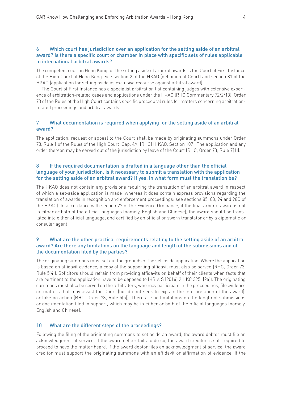### 6 Which court has jurisdiction over an application for the setting aside of an arbitral award? Is there a specific court or chamber in place with specific sets of rules applicable to international arbitral awards?

The competent court in Hong Kong for the setting aside of arbitral awards is the Court of First Instance of the High Court of Hong Kong. See section 2 of the HKAO (definition of Court) and section 81 of the HKAO (application for setting aside as exclusive recourse against arbitral award).

The Court of First Instance has a specialist arbitration list containing judges with extensive experience of arbitration-related cases and applications under the HKAO (RHC Commentary 72/2/13). Order 73 of the Rules of the High Court contains specific procedural rules for matters concerning arbitrationrelated proceedings and arbitral awards.

### 7 What documentation is required when applying for the setting aside of an arbitral award?

The application, request or appeal to the Court shall be made by originating summons under Order 73, Rule 1 of the Rules of the High Court (Cap. 4A) (RHC) (HKAO, Section 107). The application and any order thereon may be served out of the jurisdiction by leave of the Court (RHC, Order 73, Rule 7(1)).

### 8 If the required documentation is drafted in a language other than the official language of your jurisdiction, is it necessary to submit a translation with the application for the setting aside of an arbitral award? If yes, in what form must the translation be?

The HKAO does not contain any provisions requiring the translation of an arbitral award in respect of which a set-aside application is made (whereas it does contain express provisions regarding the translation of awards in recognition and enforcement proceedings: see sections 85, 88, 94 and 98C of the HKAO). In accordance with section 27 of the Evidence Ordinance, if the final arbitral award is not in either or both of the official languages (namely, English and Chinese), the award should be translated into either official language, and certified by an official or sworn translator or by a diplomatic or consular agent.

### 9 What are the other practical requirements relating to the setting aside of an arbitral award? Are there any limitations on the language and length of the submissions and of the documentation filed by the parties?

The originating summons must set out the grounds of the set-aside application. Where the application is based on affidavit evidence, a copy of the supporting affidavit must also be served (RHC, Order 73, Rule 5(4)). Solicitors should refrain from providing affidavits on behalf of their clients when facts that are pertinent to the application have to be deposed to (KB v. S [2016] 2 HKC 325, [26]). The originating summons must also be served on the arbitrators, who may participate in the proceedings, file evidence on matters that may assist the Court (but do not seek to explain the interpretation of the award), or take no action (RHC, Order 73, Rule 5(5)). There are no limitations on the length of submissions or documentation filed in support, which may be in either or both of the official languages (namely, English and Chinese).

### 10 What are the different steps of the proceedings?

Following the filing of the originating summons to set aside an award, the award debtor must file an acknowledgment of service. If the award debtor fails to do so, the award creditor is still required to proceed to have the matter heard. If the award debtor files an acknowledgment of service, the award creditor must support the originating summons with an affidavit or affirmation of evidence. If the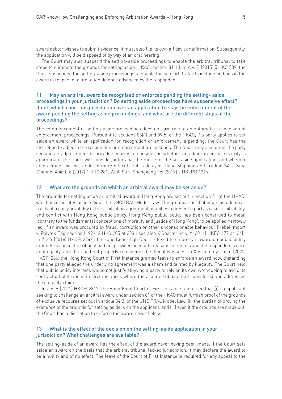award debtor wishes to submit evidence, it must also file its own affidavit or affirmation. Subsequently, the application will be disposed of by way of an oral hearing.

The Court may also suspend the setting-aside proceedings to enable the arbitral tribunal to take steps to eliminate the grounds for setting aside (HKAO, section 81(1)). In A v. B [2015] 5 HKC 509, the Court suspended the setting-aside proceedings to enable the sole arbitrator to include findings in the award in respect of a limitation defence advanced by the respondent.

### 11 May an arbitral award be recognised or enforced pending the setting- aside proceedings in your jurisdiction? Do setting aside proceedings have suspensive effect? If not, which court has jurisdiction over an application to stay the enforcement of the award pending the setting aside proceedings, and what are the different steps of the proceedings?

The commencement of setting-aside proceedings does not give rise to an automatic suspension of enforcement proceedings. Pursuant to sections 86(4) and 89(5) of the HKAO, if a party applies to set aside an award while an application for recognition or enforcement is pending, the Court has the discretion to adjourn the recognition or enforcement proceedings. The Court may also order the party seeking an adjournment to provide security. In considering whether an adjournment or security is appropriate, the Court will consider, inter alia, the merits of the set-aside application, and whether enforcement will be rendered more difficult if it is delayed (Dana Shipping and Trading SA v. Sina Channel Asia Ltd [2017] 1 HKC 281; Weili Su v. Shengkang Fei [2019] 2 HKLRD 1214).

#### 12 What are the grounds on which an arbitral award may be set aside?

The grounds for setting aside an arbitral award in Hong Kong are set out in section 81 of the HKAO, which incorporates article 34 of the UNCITRAL Model Law. The grounds for challenge include incapacity of a party, invalidity of the arbitration agreement, inability to present a party's case, arbitrability, and conflict with Hong Kong public policy. Hong Kong public policy has been construed to mean 'contrary to the fundamental conceptions of morality and justice of Hong Kong', to be applied narrowly (eg, if an award was procured by fraud, corruption or other unconscionable behaviour (Hebei Import v. Polytek Engineering [1999] 2 HKC 205 at 233); see also X Chartering v. Y [2014] HKEC 477 at [26]). In Z v. Y [2018] HKCFI 2342, the Hong Kong High Court refused to enforce an award on public policy grounds because the tribunal had not provided adequate reasons for dismissing the respondent's case on illegality, and thus had not properly considered the illegality issues. In X v. Jemmy Chien [2020] HKCFI 286, the Hong Kong Court of First Instance granted leave to enforce an award notwithstanding that one party alleged the underlying agreement was a sham and tainted by illegality. The Court held that public policy interests would not justify allowing a party to rely on its own wrongdoing to avoid its contractual obligations in circumstances where the arbitral tribunal had considered and addressed the illegality claim.

In Z v. R [2021] HKCFI 2312, the Hong Kong Court of First Instance reinforced that (i) an applicant seeking to challenge an arbitral award under section 81 of the HKAO must furnish proof of the grounds of exclusive recourse set out in article 34(2) of the UNCITRAL Model Law, (ii) the burden of proving the existence of the grounds for setting aside is on the applicant, and (iii) even if the grounds are made out, the Court has a discretion to enforce the award nevertheless.

### 13 What is the effect of the decision on the setting-aside application in your jurisdiction? What challenges are available?

The setting-aside of an award has the effect of the award never having been made. If the Court sets aside an award on the basis that the arbitral tribunal lacked jurisdiction, it may declare the award to be a nullity and of no effect. The leave of the Court of First Instance is required for any appeal to the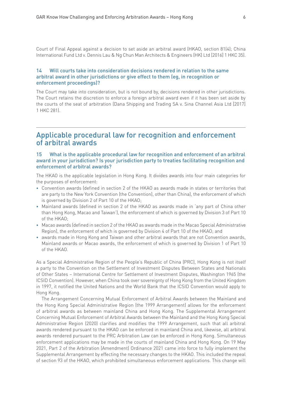Court of Final Appeal against a decision to set aside an arbitral award (HKAO, section 81(4); China International Fund Ltd v. Dennis Lau & Ng Chun Man Architects & Engineers (HK) Ltd [2016] 1 HKC 35).

### 14 Will courts take into consideration decisions rendered in relation to the same arbitral award in other jurisdictions or give effect to them (eg, in recognition or enforcement proceedings)?

The Court may take into consideration, but is not bound by, decisions rendered in other jurisdictions. The Court retains the discretion to enforce a foreign arbitral award even if it has been set aside by the courts of the seat of arbitration (Dana Shipping and Trading SA v. Sina Channel Asia Ltd [2017] 1 HKC 281).

### Applicable procedural law for recognition and enforcement of arbitral awards

### 15 What is the applicable procedural law for recognition and enforcement of an arbitral award in your jurisdiction? Is your jurisdiction party to treaties facilitating recognition and enforcement of arbitral awards?

The HKAO is the applicable legislation in Hong Kong. It divides awards into four main categories for the purposes of enforcement:

- Convention awards (defined in section 2 of the HKAO as awards made in states or territories that are party to the New York Convention (the Convention), other than China), the enforcement of which is governed by Division 2 of Part 10 of the HKAO;
- Mainland awards (defined in section 2 of the HKAO as awards made in 'any part of China other than Hong Kong, Macao and Taiwan'), the enforcement of which is governed by Division 3 of Part 10 of the HKAO;
- Macao awards (defined in section 2 of the HKAO as awards made in the Macao Special Administrative Region), the enforcement of which is governed by Division 4 of Part 10 of the HKAO; and
- awards made in Hong Kong and Taiwan and other arbitral awards that are not Convention awards, Mainland awards or Macao awards, the enforcement of which is governed by Division 1 of Part 10 of the HKAO.

As a Special Administrative Region of the People's Republic of China (PRC), Hong Kong is not itself a party to the Convention on the Settlement of Investment Disputes Between States and Nationals of Other States – International Centre for Settlement of Investment Disputes, Washington 1965 (the ICSID Convention). However, when China took over sovereignty of Hong Kong from the United Kingdom in 1997, it notified the United Nations and the World Bank that the ICSID Convention would apply to Hong Kong.

The Arrangement Concerning Mutual Enforcement of Arbitral Awards between the Mainland and the Hong Kong Special Administrative Region (the 1999 Arrangement) allows for the enforcement of arbitral awards as between mainland China and Hong Kong. The Supplemental Arrangement Concerning Mutual Enforcement of Arbitral Awards between the Mainland and the Hong Kong Special Administrative Region (2020) clarifies and modifies the 1999 Arrangement, such that all arbitral awards rendered pursuant to the HKAO can be enforced in mainland China and, likewise, all arbitral awards rendered pursuant to the PRC Arbitration Law can be enforced in Hong Kong. Simultaneous enforcement applications may be made in the courts of mainland China and Hong Kong. On 19 May 2021, Part 2 of the Arbitration (Amendment) Ordinance 2021 came into force to fully implement the Supplemental Arrangement by effecting the necessary changes to the HKAO. This included the repeal of section 93 of the HKAO, which prohibited simultaneous enforcement applications. This change will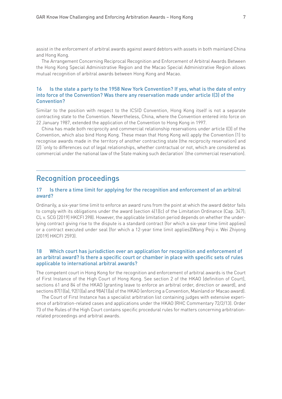assist in the enforcement of arbitral awards against award debtors with assets in both mainland China and Hong Kong.

The Arrangement Concerning Reciprocal Recognition and Enforcement of Arbitral Awards Between the Hong Kong Special Administrative Region and the Macao Special Administrative Region allows mutual recognition of arbitral awards between Hong Kong and Macao.

### 16 Is the state a party to the 1958 New York Convention? If yes, what is the date of entry into force of the Convention? Was there any reservation made under article I(3) of the Convention?

Similar to the position with respect to the ICSID Convention, Hong Kong itself is not a separate contracting state to the Convention. Nevertheless, China, where the Convention entered into force on 22 January 1987, extended the application of the Convention to Hong Kong in 1997.

China has made both reciprocity and commercial relationship reservations under article I(3) of the Convention, which also bind Hong Kong. These mean that Hong Kong will apply the Convention (1) to recognise awards made in the territory of another contracting state (the reciprocity reservation) and (2) 'only to differences out of legal relationships, whether contractual or not, which are considered as commercial under the national law of the State making such declaration' (the commercial reservation).

### Recognition proceedings

### 17 Is there a time limit for applying for the recognition and enforcement of an arbitral award?

Ordinarily, a six-year time limit to enforce an award runs from the point at which the award debtor fails to comply with its obligations under the award (section 4(1)(c) of the Limitation Ordinance (Cap. 347); CL v. SCG [2019] HKCFI 398). However, the applicable limitation period depends on whether the underlying contract giving rise to the dispute is a standard contract (for which a six-year time limit applies) or a contract executed under seal (for which a 12-year time limit applies)(Wang Peiji v. Wei Zhiyong [2019] HKCFI 2593).

### 18 Which court has jurisdiction over an application for recognition and enforcement of an arbitral award? Is there a specific court or chamber in place with specific sets of rules applicable to international arbitral awards?

The competent court in Hong Kong for the recognition and enforcement of arbitral awards is the Court of First Instance of the High Court of Hong Kong. See section 2 of the HKAO (definition of Court), sections 61 and 84 of the HKAO (granting leave to enforce an arbitral order, direction or award), and sections 87(1)(a), 92(1)(a) and 98A(1)(a) of the HKAO (enforcing a Convention, Mainland or Macao award).

The Court of First Instance has a specialist arbitration list containing judges with extensive experience of arbitration-related cases and applications under the HKAO (RHC Commentary 72/2/13). Order 73 of the Rules of the High Court contains specific procedural rules for matters concerning arbitrationrelated proceedings and arbitral awards.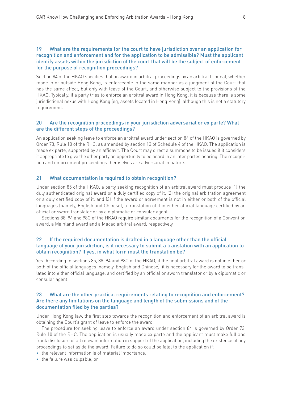### 19 What are the requirements for the court to have jurisdiction over an application for recognition and enforcement and for the application to be admissible? Must the applicant identify assets within the jurisdiction of the court that will be the subject of enforcement for the purpose of recognition proceedings?

Section 84 of the HKAO specifies that an award in arbitral proceedings by an arbitral tribunal, whether made in or outside Hong Kong, is enforceable in the same manner as a judgment of the Court that has the same effect, but only with leave of the Court, and otherwise subject to the provisions of the HKAO. Typically, if a party tries to enforce an arbitral award in Hong Kong, it is because there is some jurisdictional nexus with Hong Kong (eg, assets located in Hong Kong), although this is not a statutory requirement.

### 20 Are the recognition proceedings in your jurisdiction adversarial or ex parte? What are the different steps of the proceedings?

An application seeking leave to enforce an arbitral award under section 84 of the HKAO is governed by Order 73, Rule 10 of the RHC, as amended by section 13 of Schedule 4 of the HKAO. The application is made ex parte, supported by an affidavit. The Court may direct a summons to be issued if it considers it appropriate to give the other party an opportunity to be heard in an inter partes hearing. The recognition and enforcement proceedings themselves are adversarial in nature.

#### 21 What documentation is required to obtain recognition?

Under section 85 of the HKAO, a party seeking recognition of an arbitral award must produce (1) the duly authenticated original award or a duly certified copy of it, (2) the original arbitration agreement or a duly certified copy of it, and (3) if the award or agreement is not in either or both of the official languages (namely, English and Chinese), a translation of it in either official language certified by an official or sworn translator or by a diplomatic or consular agent.

Sections 88, 94 and 98C of the HKAO require similar documents for the recognition of a Convention award, a Mainland award and a Macao arbitral award, respectively.

### 22 If the required documentation is drafted in a language other than the official language of your jurisdiction, is it necessary to submit a translation with an application to obtain recognition? If yes, in what form must the translation be?

Yes. According to sections 85, 88, 94 and 98C of the HKAO, if the final arbitral award is not in either or both of the official languages (namely, English and Chinese), it is necessary for the award to be translated into either official language, and certified by an official or sworn translator or by a diplomatic or consular agent.

### 23 What are the other practical requirements relating to recognition and enforcement? Are there any limitations on the language and length of the submissions and of the documentation filed by the parties?

Under Hong Kong law, the first step towards the recognition and enforcement of an arbitral award is obtaining the Court's grant of leave to enforce the award.

The procedure for seeking leave to enforce an award under section 84 is governed by Order 73, Rule 10 of the RHC. The application is usually made ex parte and the applicant must make full and frank disclosure of all relevant information in support of the application, including the existence of any proceedings to set aside the award. Failure to do so could be fatal to the application if:

- the relevant information is of material importance;
- the failure was culpable; or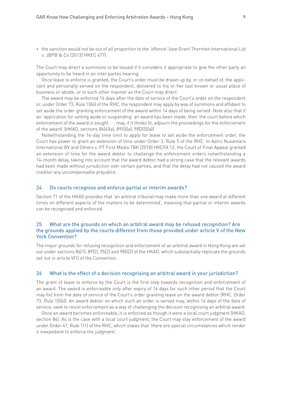• the sanction would not be out of all proportion to the 'offence' (see Grant Thornton International Ltd v. JBPB & Co [2013] HKEC 477).

The Court may direct a summons to be issued if it considers it appropriate to give the other party an opportunity to be heard in an inter partes hearing.

Once leave to enforce is granted, the Court's order must be drawn up by, or on behalf of, the applicant and personally served on the respondent, delivered to his or her last known or usual place of business or abode, or in such other manner as the Court may direct.

The award may be enforced 14 days after the date of service of the Court's order on the respondent or, under Order 73, Rule 10(6) of the RHC, the respondent may apply by way of summons and affidavit to set aside the order granting enforcement of the award within 14 days of being served. Note also that if an 'application for setting aside or suspending' an award has been made, then 'the court before which enforcement of the award is sought . . . may, if it thinks fit, adjourn the proceedings for the enforcement of the award' (HKAO, sections 86(4)(a), 89(5)(a), 98D(5)(a))

Notwithstanding the 14-day time limit to apply for leave to set aside the enforcement order, the Court has power to grant an extension of time under Order 3, Rule 5 of the RHC. In Astro Nusantara International BV and Others v. PT First Media TBK [2018] HKCFA 12, the Court of Final Appeal granted an extension of time for the award debtor to challenge the enforcement orders notwithstanding a 14-month delay, taking into account that the award debtor had a strong case that the relevant awards had been made without jurisdiction over certain parties, and that the delay had not caused the award creditor any uncompensable prejudice.

#### 24 Do courts recognise and enforce partial or interim awards?

Section 71 of the HKAO provides that 'an arbitral tribunal may make more than one award at different times on different aspects of the matters to be determined', meaning that partial or interim awards can be recognised and enforced.

### 25 What are the grounds on which an arbitral award may be refused recognition? Are the grounds applied by the courts different from those provided under article V of the New York Convention?

The major grounds for refusing recognition and enforcement of an arbitral award in Hong Kong are set out under sections 86(1), 89(2), 95(2) and 98D(2) of the HKAO, which substantially replicate the grounds set out in article V(1) of the Convention.

#### 26 What is the effect of a decision recognising an arbitral award in your jurisdiction?

The grant of leave to enforce by the Court is the first step towards recognition and enforcement of an award. The award is enforceable only after expiry of 14 days (or such other period that the Court may fix) from the date of service of the Court's order granting leave on the award debtor (RHC, Order 73, Rule 10(6)). An award debtor on which such an order is served may, within 14 days of the date of service, seek to resist enforcement as a way of challenging the decision recognising an arbitral award.

Once an award becomes enforceable, it is enforced as though it were a local court judgment (HKAO, section 84). As is the case with a local court judgment, the Court may stay enforcement of the award under Order 47, Rule 1(1) of the RHC, which states that 'there are special circumstances which render it inexpedient to enforce the judgment'.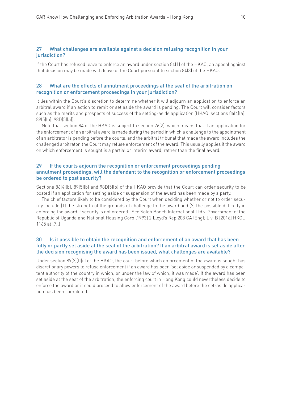### 27 What challenges are available against a decision refusing recognition in your jurisdiction?

If the Court has refused leave to enforce an award under section 84(1) of the HKAO, an appeal against that decision may be made with leave of the Court pursuant to section 84(3) of the HKAO.

### 28 What are the effects of annulment proceedings at the seat of the arbitration on recognition or enforcement proceedings in your jurisdiction?

It lies within the Court's discretion to determine whether it will adjourn an application to enforce an arbitral award if an action to remit or set aside the award is pending. The Court will consider factors such as the merits and prospects of success of the setting-aside application (HKAO, sections 86(4)(a), 89(5)(a), 98D(5)(a)).

Note that section 84 of the HKAO is subject to section 26(2), which means that if an application for the enforcement of an arbitral award is made during the period in which a challenge to the appointment of an arbitrator is pending before the courts, and the arbitral tribunal that made the award includes the challenged arbitrator, the Court may refuse enforcement of the award. This usually applies if the award on which enforcement is sought is a partial or interim award, rather than the final award.

### 29 If the courts adjourn the recognition or enforcement proceedings pending annulment proceedings, will the defendant to the recognition or enforcement proceedings be ordered to post security?

Sections 86(4)(b), 89(5)(b) and 98D(5)(b) of the HKAO provide that the Court can order security to be posted if an application for setting aside or suspension of the award has been made by a party.

The chief factors likely to be considered by the Court when deciding whether or not to order security include (1) the strength of the grounds of challenge to the award and (2) the possible difficulty in enforcing the award if security is not ordered. (See Soleh Boneh International Ltd v. Government of the Republic of Uganda and National Housing Corp [1993] 2 Lloyd's Rep 208 CA (Eng); L v. B [2016] HKCU 1165 at [7].)

### 30 Is it possible to obtain the recognition and enforcement of an award that has been fully or partly set aside at the seat of the arbitration? If an arbitral award is set aside after the decision recognising the award has been issued, what challenges are available?

Under section 89(2)(f)(ii) of the HKAO, the court before which enforcement of the award is sought has discretionary powers to refuse enforcement if an award has been 'set aside or suspended by a competent authority of the country in which, or under the law of which, it was made'. If the award has been set aside at the seat of the arbitration, the enforcing court in Hong Kong could nevertheless decide to enforce the award or it could proceed to allow enforcement of the award before the set-aside application has been completed.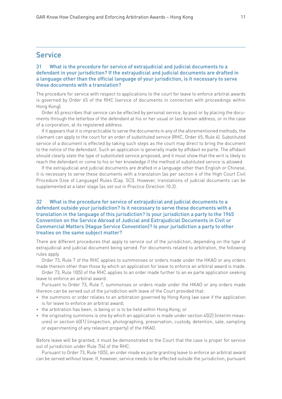### Service

### 31 What is the procedure for service of extrajudicial and judicial documents to a defendant in your jurisdiction? If the extrajudicial and judicial documents are drafted in a language other than the official language of your jurisdiction, is it necessary to serve these documents with a translation?

The procedure for service with respect to applications to the court for leave to enforce arbitral awards is governed by Order 65 of the RHC (service of documents in connection with proceedings within Hong Kong).

Order 65 prescribes that service can be effected by personal service, by post or by placing the documents through the letterbox of the defendant at his or her usual or last known address, or in the case of a corporation, at its registered address.

If it appears that it is impracticable to serve the documents in any of the aforementioned methods, the claimant can apply to the court for an order of substituted service (RHC, Order 65, Rule 4). Substituted service of a document is effected by taking such steps as the court may direct to bring the document to the notice of the defendant. Such an application is generally made by affidavit ex parte. The affidavit should clearly state the type of substituted service proposed, and it must show that the writ is likely to reach the defendant or come to his or her knowledge if the method of substituted service is allowed.

If the extrajudicial and judicial documents are drafted in a language other than English or Chinese, it is necessary to serve these documents with a translation (as per section 4 of the High Court Civil Procedure (Use of Language) Rules (Cap. 5C)). However, translations of judicial documents can be supplemented at a later stage (as set out in Practice Direction 10.2).

### 32 What is the procedure for service of extrajudicial and judicial documents to a defendant outside your jurisdiction? Is it necessary to serve these documents with a translation in the language of this jurisdiction? Is your jurisdiction a party to the 1965 Convention on the Service Abroad of Judicial and Extrajudicial Documents in Civil or Commercial Matters (Hague Service Convention)? Is your jurisdiction a party to other treaties on the same subject matter?

There are different procedures that apply to service out of the jurisdiction, depending on the type of extrajudicial and judicial document being served. For documents related to arbitration, the following rules apply.

Order 73, Rule 7 of the RHC applies to summonses or orders made under the HKAO or any orders made thereon other than those by which an application for leave to enforce an arbitral award is made.

Order 73, Rule 10(5) of the RHC applies to an order made further to an ex parte application seeking leave to enforce an arbitral award.

Pursuant to Order 73, Rule 7, summonses or orders made under the HKAO or any orders made thereon can be served out of the jurisdiction with leave of the Court provided that:

- the summons or order relates to an arbitration governed by Hong Kong law save if the application is for leave to enforce an arbitral award;
- the arbitration has been, is being or is to be held within Hong Kong; or
- the originating summons is one by which an application is made under section 45(2) (interim measures) or section 60(1) (inspection, photographing, preservation, custody, detention, sale, sampling or experimenting of any relevant property) of the HKAO.

Before leave will be granted, it must be demonstrated to the Court that the case is proper for service out of jurisdiction under Rule 7(4) of the RHC.

Pursuant to Order 73, Rule 10(5), an order made ex parte granting leave to enforce an arbitral award can be served without leave. If, however, service needs to be effected outside the jurisdiction, pursuant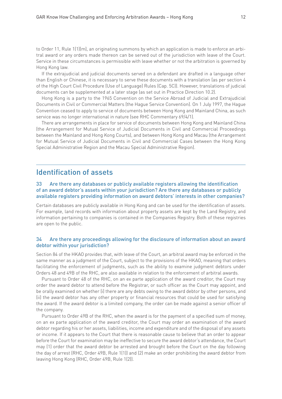to Order 11, Rule 1(1)(m), an originating summons by which an application is made to enforce an arbitral award or any orders made thereon can be served out of the jurisdiction with leave of the Court. Service in these circumstances is permissible with leave whether or not the arbitration is governed by Hong Kong law.

If the extrajudicial and judicial documents served on a defendant are drafted in a language other than English or Chinese, it is necessary to serve these documents with a translation (as per section 4 of the High Court Civil Procedure (Use of Language) Rules (Cap. 5C)). However, translations of judicial documents can be supplemented at a later stage (as set out in Practice Direction 10.2).

Hong Kong is a party to the 1965 Convention on the Service Abroad of Judicial and Extrajudicial Documents in Civil or Commercial Matters (the Hague Service Convention). On 1 July 1997, the Hague Convention ceased to apply to service of documents between Hong Kong and Mainland China, as such service was no longer international in nature (see RHC Commentary 69/4/1).

There are arrangements in place for service of documents between Hong Kong and Mainland China (the Arrangement for Mutual Service of Judicial Documents in Civil and Commercial Proceedings between the Mainland and Hong Kong Courts), and between Hong Kong and Macau (the Arrangement for Mutual Service of Judicial Documents in Civil and Commercial Cases between the Hong Kong Special Administrative Region and the Macau Special Administrative Region).

### Identification of assets

### 33 Are there any databases or publicly available registers allowing the identification of an award debtor's assets within your jurisdiction? Are there any databases or publicly available registers providing information on award debtors' interests in other companies?

Certain databases are publicly available in Hong Kong and can be used for the identification of assets. For example, land records with information about property assets are kept by the Land Registry, and information pertaining to companies is contained in the Companies Registry. Both of these registries are open to the public.

### 34 Are there any proceedings allowing for the disclosure of information about an award debtor within your jurisdiction?

Section 84 of the HKAO provides that, with leave of the Court, an arbitral award may be enforced in the same manner as a judgment of the Court, subject to the provisions of the HKAO, meaning that orders facilitating the enforcement of judgments, such as the ability to examine judgment debtors under Orders 48 and 49B of the RHC, are also available in relation to the enforcement of arbitral awards.

Pursuant to Order 48 of the RHC, on an ex parte application of the award creditor, the Court may order the award debtor to attend before the Registrar, or such officer as the Court may appoint, and be orally examined on whether (i) there are any debts owing to the award debtor by other persons, and (ii) the award debtor has any other property or financial resources that could be used for satisfying the award. If the award debtor is a limited company, the order can be made against a senior officer of the company.

Pursuant to Order 49B of the RHC, when the award is for the payment of a specified sum of money, on an ex parte application of the award creditor, the Court may order an examination of the award debtor regarding his or her assets, liabilities, income and expenditure and of the disposal of any assets or income. If it appears to the Court that there is reasonable cause to believe that an order to appear before the Court for examination may be ineffective to secure the award debtor's attendance, the Court may (1) order that the award debtor be arrested and brought before the Court on the day following the day of arrest (RHC, Order 49B, Rule 1(1)) and (2) make an order prohibiting the award debtor from leaving Hong Kong (RHC, Order 49B, Rule 1(2)).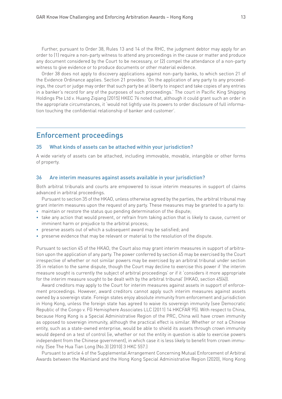Further, pursuant to Order 38, Rules 13 and 14 of the RHC, the judgment debtor may apply for an order to (1) require a non-party witness to attend any proceedings in the cause or matter and produce any document considered by the Court to be necessary, or (2) compel the attendance of a non-party witness to give evidence or to produce documents or other material evidence.

Order 38 does not apply to discovery applications against non-party banks, to which section 21 of the Evidence Ordinance applies. Section 21 provides: 'On the application of any party to any proceedings, the court or judge may order that such party be at liberty to inspect and take copies of any entries in a banker's record for any of the purposes of such proceedings.' The court in Pacific King Shipping Holdings Pte Ltd v. Huang Ziqiang [2015] HKEC 76 noted that, although it could grant such an order in the appropriate circumstances, it 'would not lightly use its powers to order disclosure of full information touching the confidential relationship of banker and customer'.

### Enforcement proceedings

#### 35 What kinds of assets can be attached within your jurisdiction?

A wide variety of assets can be attached, including immovable, movable, intangible or other forms of property.

#### 36 Are interim measures against assets available in your jurisdiction?

Both arbitral tribunals and courts are empowered to issue interim measures in support of claims advanced in arbitral proceedings.

Pursuant to section 35 of the HKAO, unless otherwise agreed by the parties, the arbitral tribunal may grant interim measures upon the request of any party. These measures may be granted to a party to:

- maintain or restore the status quo pending determination of the dispute;
- take any action that would prevent, or refrain from taking action that is likely to cause, current or imminent harm or prejudice to the arbitral process;
- preserve assets out of which a subsequent award may be satisfied; and
- preserve evidence that may be relevant or material to the resolution of the dispute.

Pursuant to section 45 of the HKAO, the Court also may grant interim measures in support of arbitration upon the application of any party. The power conferred by section 45 may be exercised by the Court irrespective of whether or not similar powers may be exercised by an arbitral tribunal under section 35 in relation to the same dispute, though the Court may decline to exercise this power if 'the interim measure sought is currently the subject of arbitral proceedings' or if it 'considers it more appropriate for the interim measure sought to be dealt with by the arbitral tribunal' (HKAO, section 45(4)).

Award creditors may apply to the Court for interim measures against assets in support of enforcement proceedings. However, award creditors cannot apply such interim measures against assets owned by a sovereign state. Foreign states enjoy absolute immunity from enforcement and jurisdiction in Hong Kong, unless the foreign state has agreed to waive its sovereign immunity (see Democratic Republic of the Congo v. FG Hemisphere Associates LLC (2011) 14 HKCFAR 95). With respect to China, because Hong Kong is a Special Administrative Region of the PRC, China will have crown immunity as opposed to sovereign immunity, although the practical effect is similar. Whether or not a Chinese entity, such as a state-owned enterprise, would be able to shield its assets through crown immunity would depend on a test of control (ie, whether or not the entity in question is able to exercise powers independent from the Chinese government), in which case it is less likely to benefit from crown immunity. (See The Hua Tian Long (No.3) [2010] 3 HKC 557.)

Pursuant to article 4 of the Supplemental Arrangement Concerning Mutual Enforcement of Arbitral Awards between the Mainland and the Hong Kong Special Administrative Region (2020), Hong Kong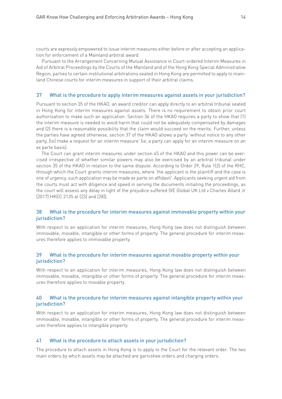courts are expressly empowered to issue interim measures either before or after accepting an application for enforcement of a Mainland arbitral award.

Pursuant to the Arrangement Concerning Mutual Assistance in Court-ordered Interim Measures in Aid of Arbitral Proceedings by the Courts of the Mainland and of the Hong Kong Special Administrative Region, parties to certain institutional arbitrations seated in Hong Kong are permitted to apply to mainland Chinese courts for interim measures in support of their arbitral claims.

#### 37 What is the procedure to apply interim measures against assets in your jurisdiction?

Pursuant to section 35 of the HKAO, an award creditor can apply directly to an arbitral tribunal seated in Hong Kong for interim measures against assets. There is no requirement to obtain prior court authorisation to make such an application. Section 36 of the HKAO requires a party to show that (1) the interim measure is needed to avoid harm that could not be adequately compensated by damages and (2) there is a reasonable possibility that the claim would succeed on the merits. Further, unless the parties have agreed otherwise, section 37 of the HKAO allows a party 'without notice to any other party, [to] make a request for an interim measure' (ie, a party can apply for an interim measure on an ex parte basis).

The Court can grant interim measures under section 45 of the HKAO and this power can be exercised irrespective of whether similar powers may also be exercised by an arbitral tribunal under section 35 of the HKAO in relation to the same dispute. According to Order 29, Rule 1(2) of the RHC, through which the Court grants interim measures, where 'the applicant is the plaintiff and the case is one of urgency, such application may be made ex parte on affidavit'. Applicants seeking urgent aid from the courts must act with diligence and speed in serving the documents initiating the proceedings, as the court will assess any delay in light of the prejudice suffered (VE Global UK Ltd v Charles Allard Jr [2017] HKEC 2135 at [23] and [28]).

### 38 What is the procedure for interim measures against immovable property within your jurisdiction?

With respect to an application for interim measures, Hong Kong law does not distinguish between immovable, movable, intangible or other forms of property. The general procedure for interim measures therefore applies to immovable property.

### 39 What is the procedure for interim measures against movable property within your jurisdiction?

With respect to an application for interim measures, Hong Kong law does not distinguish between immovable, movable, intangible or other forms of property. The general procedure for interim measures therefore applies to movable property.

### 40 What is the procedure for interim measures against intangible property within your jurisdiction?

With respect to an application for interim measures, Hong Kong law does not distinguish between immovable, movable, intangible or other forms of property. The general procedure for interim measures therefore applies to intangible property.

#### 41 What is the procedure to attach assets in your jurisdiction?

The procedure to attach assets in Hong Kong is to apply to the Court for the relevant order. The two main orders by which assets may be attached are garnishee orders and charging orders.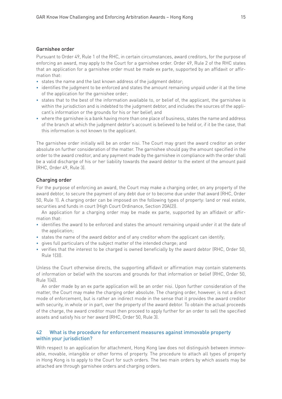### Garnishee order

Pursuant to Order 49, Rule 1 of the RHC, in certain circumstances, award creditors, for the purpose of enforcing an award, may apply to the Court for a garnishee order. Order 49, Rule 2 of the RHC states that an application for a garnishee order must be made ex parte, supported by an affidavit or affirmation that:

- states the name and the last known address of the judgment debtor;
- identifies the judgment to be enforced and states the amount remaining unpaid under it at the time of the application for the garnishee order;
- states that to the best of the information available to, or belief of, the applicant, the garnishee is within the jurisdiction and is indebted to the judgment debtor, and includes the sources of the applicant's information or the grounds for his or her belief; and
- where the garnishee is a bank having more than one place of business, states the name and address of the branch at which the judgment debtor's account is believed to be held or, if it be the case, that this information is not known to the applicant.

The garnishee order initially will be an order nisi. The Court may grant the award creditor an order absolute on further consideration of the matter. The garnishee should pay the amount specified in the order to the award creditor, and any payment made by the garnishee in compliance with the order shall be a valid discharge of his or her liability towards the award debtor to the extent of the amount paid (RHC, Order 49, Rule 3).

### Charging order

For the purpose of enforcing an award, the Court may make a charging order, on any property of the award debtor, to secure the payment of any debt due or to become due under that award (RHC, Order 50, Rule 1). A charging order can be imposed on the following types of property: land or real estate, securities and funds in court (High Court Ordinance, Section 20A(2)).

An application for a charging order may be made ex parte, supported by an affidavit or affirmation that:

- identifies the award to be enforced and states the amount remaining unpaid under it at the date of the application;
- states the name of the award debtor and of any creditor whom the applicant can identify;
- gives full particulars of the subject matter of the intended charge; and
- verifies that the interest to be charged is owned beneficially by the award debtor (RHC, Order 50, Rule 1(3)).

Unless the Court otherwise directs, the supporting affidavit or affirmation may contain statements of information or belief with the sources and grounds for that information or belief (RHC, Order 50, Rule 1(4)).

An order made by an ex parte application will be an order nisi. Upon further consideration of the matter, the Court may make the charging order absolute. The charging order, however, is not a direct mode of enforcement, but is rather an indirect mode in the sense that it provides the award creditor with security, in whole or in part, over the property of the award debtor. To obtain the actual proceeds of the charge, the award creditor must then proceed to apply further for an order to sell the specified assets and satisfy his or her award (RHC, Order 50, Rule 3).

### 42 What is the procedure for enforcement measures against immovable property within your jurisdiction?

With respect to an application for attachment, Hong Kong law does not distinguish between immovable, movable, intangible or other forms of property. The procedure to attach all types of property in Hong Kong is to apply to the Court for such orders. The two main orders by which assets may be attached are through garnishee orders and charging orders.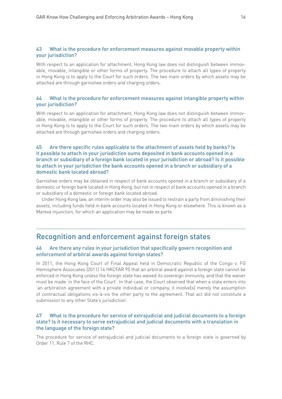### 43 What is the procedure for enforcement measures against movable property within your jurisdiction?

With respect to an application for attachment, Hong Kong law does not distinguish between immovable, movable, intangible or other forms of property. The procedure to attach all types of property in Hong Kong is to apply to the Court for such orders. The two main orders by which assets may be attached are through garnishee orders and charging orders.

### 44 What is the procedure for enforcement measures against intangible property within your jurisdiction?

With respect to an application for attachment, Hong Kong law does not distinguish between immovable, movable, intangible or other forms of property. The procedure to attach all types of property in Hong Kong is to apply to the Court for such orders. The two main orders by which assets may be attached are through garnishee orders and charging orders.

### 45 Are there specific rules applicable to the attachment of assets held by banks? Is it possible to attach in your jurisdiction sums deposited in bank accounts opened in a branch or subsidiary of a foreign bank located in your jurisdiction or abroad? Is it possible to attach in your jurisdiction the bank accounts opened in a branch or subsidiary of a domestic bank located abroad?

Garnishee orders may be obtained in respect of bank accounts opened in a branch or subsidiary of a domestic or foreign bank located in Hong Kong, but not in respect of bank accounts opened in a branch or subsidiary of a domestic or foreign bank located abroad.

Under Hong Kong law, an interim order may also be issued to restrain a party from diminishing their assets, including funds held in bank accounts located in Hong Kong or elsewhere. This is known as a Mareva injunction, for which an application may be made ex parte.

### Recognition and enforcement against foreign states

### 46 Are there any rules in your jurisdiction that specifically govern recognition and enforcement of arbitral awards against foreign states?

In 2011, the Hong Kong Court of Final Appeal held in Democratic Republic of the Congo v. FG Hemisphere Associates (2011) 14 HKCFAR 95 that an arbitral award against a foreign state cannot be enforced in Hong Kong unless the foreign state has waived its sovereign immunity, and that the waiver must be made 'in the face of the Court'. In that case, the Court observed that when a state enters into 'an arbitration agreement with a private individual or company, it involve[s] merely the assumption of contractual obligations vis-à-vis the other party to the agreement. That act did not constitute a submission to any other State's jurisdiction'.

### 47 What is the procedure for service of extrajudicial and judicial documents to a foreign state? Is it necessary to serve extrajudicial and judicial documents with a translation in the language of the foreign state?

The procedure for service of extrajudicial and judicial documents to a foreign state is governed by Order 11, Rule 7 of the RHC.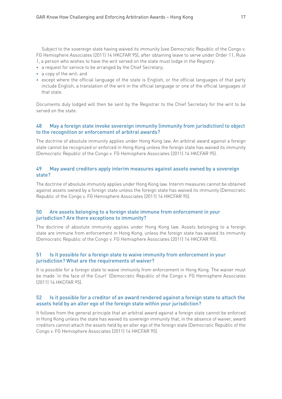Subject to the sovereign state having waived its immunity (see Democratic Republic of the Congo v. FG Hemisphere Associates (2011) 14 HKCFAR 95), after obtaining leave to serve under Order 11, Rule 1, a person who wishes to have the writ served on the state must lodge in the Registry:

- a request for service to be arranged by the Chief Secretary;
- a copy of the writ; and
- except where the official language of the state is English, or the official languages of that party include English, a translation of the writ in the official language or one of the official languages of that state.

Documents duly lodged will then be sent by the Registrar to the Chief Secretary for the writ to be served on the state.

### 48 May a foreign state invoke sovereign immunity (immunity from jurisdiction) to object to the recognition or enforcement of arbitral awards?

The doctrine of absolute immunity applies under Hong Kong law. An arbitral award against a foreign state cannot be recognized or enforced in Hong Kong unless the foreign state has waived its immunity (Democratic Republic of the Congo v. FG Hemisphere Associates (2011) 14 HKCFAR 95).

### 49 May award creditors apply interim measures against assets owned by a sovereign state?

The doctrine of absolute immunity applies under Hong Kong law. Interim measures cannot be obtained against assets owned by a foreign state unless the foreign state has waived its immunity (Democratic Republic of the Congo v. FG Hemisphere Associates (2011) 14 HKCFAR 95).

### 50 Are assets belonging to a foreign state immune from enforcement in your jurisdiction? Are there exceptions to immunity?

The doctrine of absolute immunity applies under Hong Kong law. Assets belonging to a foreign state are immune from enforcement in Hong Kong, unless the foreign state has waived its immunity (Democratic Republic of the Congo v. FG Hemisphere Associates (2011) 14 HKCFAR 95).

### 51 Is it possible for a foreign state to waive immunity from enforcement in your jurisdiction? What are the requirements of waiver?

It is possible for a foreign state to waive immunity from enforcement in Hong Kong. The waiver must be made 'in the face of the Court' (Democratic Republic of the Congo v. FG Hemisphere Associates (2011) 14 HKCFAR 95).

### 52 Is it possible for a creditor of an award rendered against a foreign state to attach the assets held by an alter ego of the foreign state within your jurisdiction?

It follows from the general principle that an arbitral award against a foreign state cannot be enforced in Hong Kong unless the state has waived its sovereign immunity that, in the absence of waiver, award creditors cannot attach the assets held by an alter ego of the foreign state (Democratic Republic of the Congo v. FG Hemisphere Associates (2011) 14 HKCFAR 95).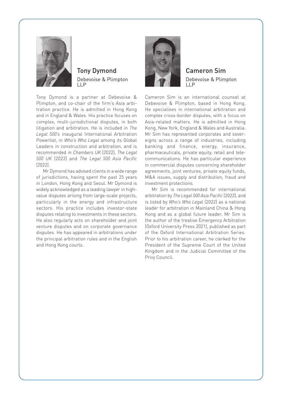

### Tony Dymond Debevoise & Plimpton LLP

Tony Dymond is a partner at Debevoise & Plimpton, and co-chair of the firm's Asia arbitration practice. He is admitted in Hong Kong and in England & Wales. His practice focuses on complex, multi-jurisdictional disputes, in both litigation and arbitration. He is included in *The Legal 500's* inaugural International Arbitration Powerlist, in *Who's Who Legal* among its Global Leaders in construction and arbitration, and is recommended in *Chambers UK* (2022), *The Legal 500 UK* (2022) and *The Legal 500 Asia Pacific* (2022).

Mr Dymond has advised clients in a wide range of jurisdictions, having spent the past 25 years in London, Hong Kong and Seoul. Mr Dymond is widely acknowledged as a leading lawyer in highvalue disputes arising from large-scale projects, particularly in the energy and infrastructure sectors. His practice includes investor-state disputes relating to investments in these sectors. He also regularly acts on shareholder and joint venture disputes and on corporate governance disputes. He has appeared in arbitrations under the principal arbitration rules and in the English and Hong Kong courts.



### Cameron Sim Debevoise & Plimpton LLP

Cameron Sim is an international counsel at Debevoise & Plimpton, based in Hong Kong. He specialises in international arbitration and complex cross-border disputes, with a focus on Asia-related matters. He is admitted in Hong Kong, New York, England & Wales and Australia. Mr Sim has represented corporates and sovereigns across a range of industries, including banking and finance, energy, insurance, pharmaceuticals, private equity, retail and telecommunications. He has particular experience in commercial disputes concerning shareholder agreements, joint ventures, private equity funds, M&A issues, supply and distribution, fraud and investment protections.

Mr Sim is recommended for international arbitration by *The Legal 500 Asia Pacific* (2022), and is listed by *Who's Who Legal* (2022) as a national leader for arbitration in Mainland China & Hong Kong and as a global future leader. Mr Sim is the author of the treatise Emergency Arbitration (Oxford University Press 2021), published as part of the Oxford International Arbitration Series. Prior to his arbitration career, he clerked for the President of the Supreme Court of the United Kingdom and in the Judicial Committee of the Privy Council.